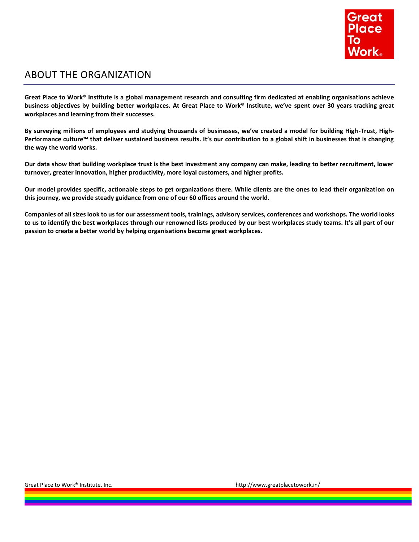

## ABOUT THE ORGANIZATION

**Great Place to Work® Institute is a global management research and consulting firm dedicated at enabling organisations achieve business objectives by building better workplaces. At Great Place to Work® Institute, we've spent over 30 years tracking great workplaces and learning from their successes.**

**By surveying millions of employees and studying thousands of businesses, we've created a model for building High-Trust, High-Performance culture™ that deliver sustained business results. It's our contribution to a global shift in businesses that is changing the way the world works.**

**Our data show that building workplace trust is the best investment any company can make, leading to better recruitment, lower turnover, greater innovation, higher productivity, more loyal customers, and higher profits.**

**Our model provides specific, actionable steps to get organizations there. While clients are the ones to lead their organization on this journey, we provide steady guidance from one of our 60 offices around the world.**

**Companies of all sizes look to us for our assessment tools, trainings, advisory services, conferences and workshops. The world looks to us to identify the best workplaces through our renowned lists produced by our best workplaces study teams. It's all part of our passion to create a better world by helping organisations become great workplaces.**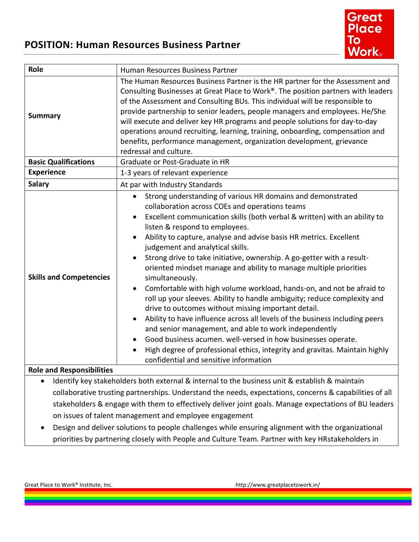# **POSITION: Human Resources Business Partner**



| Role                                                                                                                                                                                                                                  | Human Resources Business Partner                                                                                                                                                                                                                                                                                                                                                                                                                                                                                                                                                                                                                                                                                                                                                                                                                                                                                                                                                                                                                      |
|---------------------------------------------------------------------------------------------------------------------------------------------------------------------------------------------------------------------------------------|-------------------------------------------------------------------------------------------------------------------------------------------------------------------------------------------------------------------------------------------------------------------------------------------------------------------------------------------------------------------------------------------------------------------------------------------------------------------------------------------------------------------------------------------------------------------------------------------------------------------------------------------------------------------------------------------------------------------------------------------------------------------------------------------------------------------------------------------------------------------------------------------------------------------------------------------------------------------------------------------------------------------------------------------------------|
| <b>Summary</b>                                                                                                                                                                                                                        | The Human Resources Business Partner is the HR partner for the Assessment and<br>Consulting Businesses at Great Place to Work®. The position partners with leaders<br>of the Assessment and Consulting BUs. This individual will be responsible to<br>provide partnership to senior leaders, people managers and employees. He/She<br>will execute and deliver key HR programs and people solutions for day-to-day<br>operations around recruiting, learning, training, onboarding, compensation and<br>benefits, performance management, organization development, grievance<br>redressal and culture.                                                                                                                                                                                                                                                                                                                                                                                                                                               |
| <b>Basic Qualifications</b>                                                                                                                                                                                                           | Graduate or Post-Graduate in HR                                                                                                                                                                                                                                                                                                                                                                                                                                                                                                                                                                                                                                                                                                                                                                                                                                                                                                                                                                                                                       |
| <b>Experience</b>                                                                                                                                                                                                                     | 1-3 years of relevant experience                                                                                                                                                                                                                                                                                                                                                                                                                                                                                                                                                                                                                                                                                                                                                                                                                                                                                                                                                                                                                      |
| <b>Salary</b>                                                                                                                                                                                                                         | At par with Industry Standards                                                                                                                                                                                                                                                                                                                                                                                                                                                                                                                                                                                                                                                                                                                                                                                                                                                                                                                                                                                                                        |
| <b>Skills and Competencies</b>                                                                                                                                                                                                        | Strong understanding of various HR domains and demonstrated<br>collaboration across COEs and operations teams<br>Excellent communication skills (both verbal & written) with an ability to<br>listen & respond to employees.<br>Ability to capture, analyse and advise basis HR metrics. Excellent<br>judgement and analytical skills.<br>Strong drive to take initiative, ownership. A go-getter with a result-<br>oriented mindset manage and ability to manage multiple priorities<br>simultaneously.<br>Comfortable with high volume workload, hands-on, and not be afraid to<br>roll up your sleeves. Ability to handle ambiguity; reduce complexity and<br>drive to outcomes without missing important detail.<br>Ability to have influence across all levels of the business including peers<br>and senior management, and able to work independently<br>Good business acumen. well-versed in how businesses operate.<br>High degree of professional ethics, integrity and gravitas. Maintain highly<br>confidential and sensitive information |
| <b>Role and Responsibilities</b>                                                                                                                                                                                                      |                                                                                                                                                                                                                                                                                                                                                                                                                                                                                                                                                                                                                                                                                                                                                                                                                                                                                                                                                                                                                                                       |
| $\mathbf{r}$ , and the state of the state of the state $\mathbf{r}$ , and the state of the state of the state of the state of the state of the state of the state of the state of the state of the state of the state of the state of |                                                                                                                                                                                                                                                                                                                                                                                                                                                                                                                                                                                                                                                                                                                                                                                                                                                                                                                                                                                                                                                       |

- Identify key stakeholders both external & internal to the business unit & establish & maintain collaborative trusting partnerships. Understand the needs, expectations, concerns & capabilities of all stakeholders & engage with them to effectively deliver joint goals. Manage expectations of BU leaders on issues of talent management and employee engagement
- Design and deliver solutions to people challenges while ensuring alignment with the organizational priorities by partnering closely with People and Culture Team. Partner with key HRstakeholders in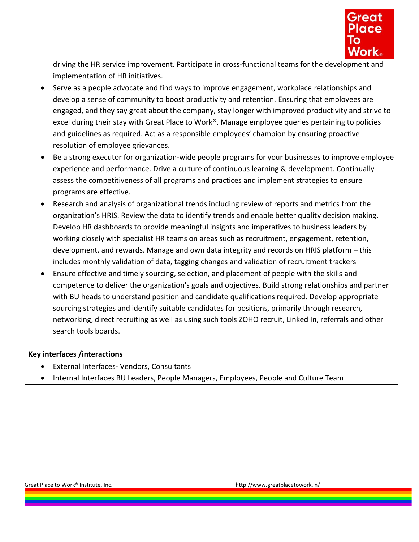

driving the HR service improvement. Participate in cross-functional teams for the development and implementation of HR initiatives.

- Serve as a people advocate and find ways to improve engagement, workplace relationships and develop a sense of community to boost productivity and retention. Ensuring that employees are engaged, and they say great about the company, stay longer with improved productivity and strive to excel during their stay with Great Place to Work®. Manage employee queries pertaining to policies and guidelines as required. Act as a responsible employees' champion by ensuring proactive resolution of employee grievances.
- Be a strong executor for organization-wide people programs for your businesses to improve employee experience and performance. Drive a culture of continuous learning & development. Continually assess the competitiveness of all programs and practices and implement strategies to ensure programs are effective.
- Research and analysis of organizational trends including review of reports and metrics from the organization's HRIS. Review the data to identify trends and enable better quality decision making. Develop HR dashboards to provide meaningful insights and imperatives to business leaders by working closely with specialist HR teams on areas such as recruitment, engagement, retention, development, and rewards. Manage and own data integrity and records on HRIS platform – this includes monthly validation of data, tagging changes and validation of recruitment trackers
- Ensure effective and timely sourcing, selection, and placement of people with the skills and competence to deliver the organization's goals and objectives. Build strong relationships and partner with BU heads to understand position and candidate qualifications required. Develop appropriate sourcing strategies and identify suitable candidates for positions, primarily through research, networking, direct recruiting as well as using such tools ZOHO recruit, Linked In, referrals and other search tools boards.

### **Key interfaces /interactions**

- External Interfaces- Vendors, Consultants
- Internal Interfaces BU Leaders, People Managers, Employees, People and Culture Team